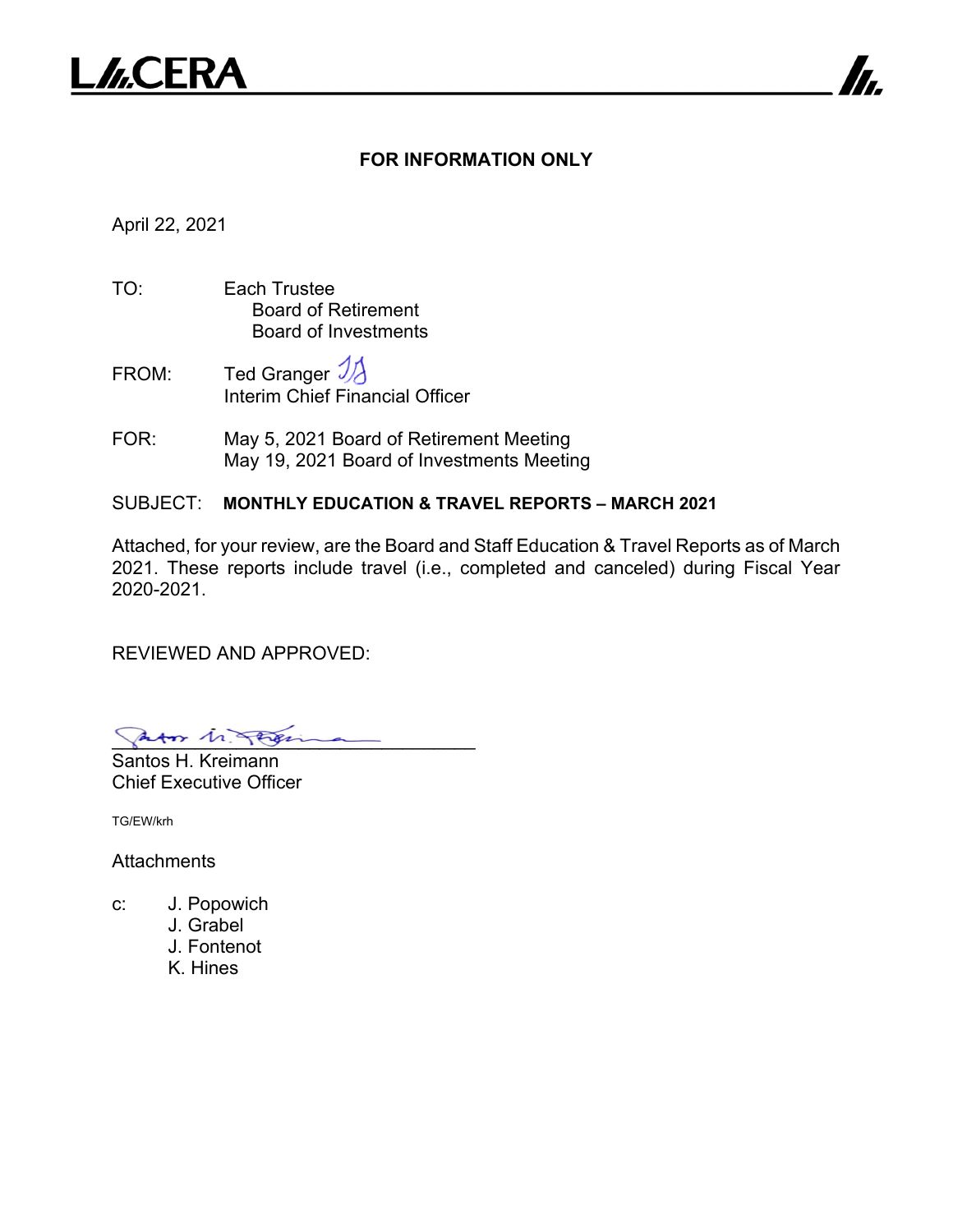

#### **FOR INFORMATION ONLY**

7

April 22, 2021

- TO: Each Trustee Board of Retirement Board of Investments
- FROM: Ted Granger  $\mathcal{V}$ Interim Chief Financial Officer
- FOR: May 5, 2021 Board of Retirement Meeting May 19, 2021 Board of Investments Meeting
- SUBJECT: **MONTHLY EDUCATION & TRAVEL REPORTS MARCH 2021**

Attached, for your review, are the Board and Staff Education & Travel Reports as of March 2021. These reports include travel (i.e., completed and canceled) during Fiscal Year 2020-2021.

REVIEWED AND APPROVED:

Patos 11 Feren

Santos H. Kreimann Chief Executive Officer

TG/EW/krh

**Attachments** 

- c: J. Popowich
	- J. Grabel
	- J. Fontenot
	- K. Hines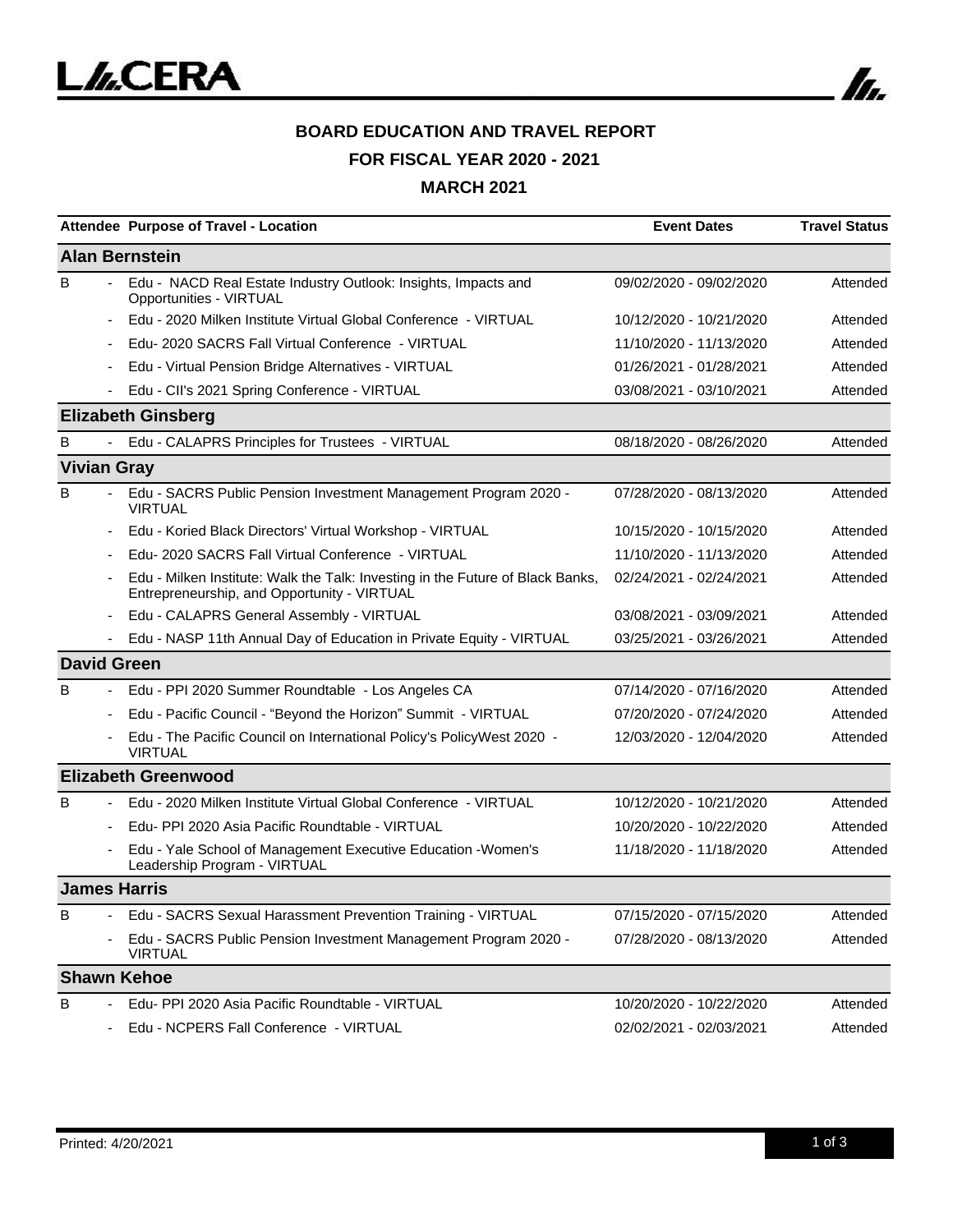

# **BOARD EDUCATION AND TRAVEL REPORT FOR FISCAL YEAR 2020 - 2021 MARCH 2021**

|   | Attendee Purpose of Travel - Location                                                                                         | <b>Event Dates</b>      | <b>Travel Status</b> |
|---|-------------------------------------------------------------------------------------------------------------------------------|-------------------------|----------------------|
|   | <b>Alan Bernstein</b>                                                                                                         |                         |                      |
| B | Edu - NACD Real Estate Industry Outlook: Insights, Impacts and<br>Opportunities - VIRTUAL                                     | 09/02/2020 - 09/02/2020 | Attended             |
|   | Edu - 2020 Milken Institute Virtual Global Conference - VIRTUAL                                                               | 10/12/2020 - 10/21/2020 | Attended             |
|   | Edu- 2020 SACRS Fall Virtual Conference - VIRTUAL                                                                             | 11/10/2020 - 11/13/2020 | Attended             |
|   | Edu - Virtual Pension Bridge Alternatives - VIRTUAL                                                                           | 01/26/2021 - 01/28/2021 | Attended             |
|   | Edu - CII's 2021 Spring Conference - VIRTUAL                                                                                  | 03/08/2021 - 03/10/2021 | Attended             |
|   | <b>Elizabeth Ginsberg</b>                                                                                                     |                         |                      |
| B | Edu - CALAPRS Principles for Trustees - VIRTUAL                                                                               | 08/18/2020 - 08/26/2020 | Attended             |
|   | <b>Vivian Gray</b>                                                                                                            |                         |                      |
| в | Edu - SACRS Public Pension Investment Management Program 2020 -<br><b>VIRTUAL</b>                                             | 07/28/2020 - 08/13/2020 | Attended             |
|   | Edu - Koried Black Directors' Virtual Workshop - VIRTUAL                                                                      | 10/15/2020 - 10/15/2020 | Attended             |
|   | Edu-2020 SACRS Fall Virtual Conference - VIRTUAL                                                                              | 11/10/2020 - 11/13/2020 | Attended             |
|   | Edu - Milken Institute: Walk the Talk: Investing in the Future of Black Banks,<br>Entrepreneurship, and Opportunity - VIRTUAL | 02/24/2021 - 02/24/2021 | Attended             |
|   | Edu - CALAPRS General Assembly - VIRTUAL                                                                                      | 03/08/2021 - 03/09/2021 | Attended             |
|   | Edu - NASP 11th Annual Day of Education in Private Equity - VIRTUAL                                                           | 03/25/2021 - 03/26/2021 | Attended             |
|   | <b>David Green</b>                                                                                                            |                         |                      |
| B | Edu - PPI 2020 Summer Roundtable - Los Angeles CA                                                                             | 07/14/2020 - 07/16/2020 | Attended             |
|   | Edu - Pacific Council - "Beyond the Horizon" Summit - VIRTUAL                                                                 | 07/20/2020 - 07/24/2020 | Attended             |
|   | Edu - The Pacific Council on International Policy's PolicyWest 2020 -<br><b>VIRTUAL</b>                                       | 12/03/2020 - 12/04/2020 | Attended             |
|   | <b>Elizabeth Greenwood</b>                                                                                                    |                         |                      |
| B | Edu - 2020 Milken Institute Virtual Global Conference - VIRTUAL                                                               | 10/12/2020 - 10/21/2020 | Attended             |
|   | Edu- PPI 2020 Asia Pacific Roundtable - VIRTUAL                                                                               | 10/20/2020 - 10/22/2020 | Attended             |
|   | Edu - Yale School of Management Executive Education - Women's<br>Leadership Program - VIRTUAL                                 | 11/18/2020 - 11/18/2020 | Attended             |
|   | <b>James Harris</b>                                                                                                           |                         |                      |
| B | Edu - SACRS Sexual Harassment Prevention Training - VIRTUAL                                                                   | 07/15/2020 - 07/15/2020 | Attended             |
|   | Edu - SACRS Public Pension Investment Management Program 2020 -<br><b>VIRTUAL</b>                                             | 07/28/2020 - 08/13/2020 | Attended             |
|   | <b>Shawn Kehoe</b>                                                                                                            |                         |                      |
| B | Edu- PPI 2020 Asia Pacific Roundtable - VIRTUAL                                                                               | 10/20/2020 - 10/22/2020 | Attended             |
|   | Edu - NCPERS Fall Conference - VIRTUAL                                                                                        | 02/02/2021 - 02/03/2021 | Attended             |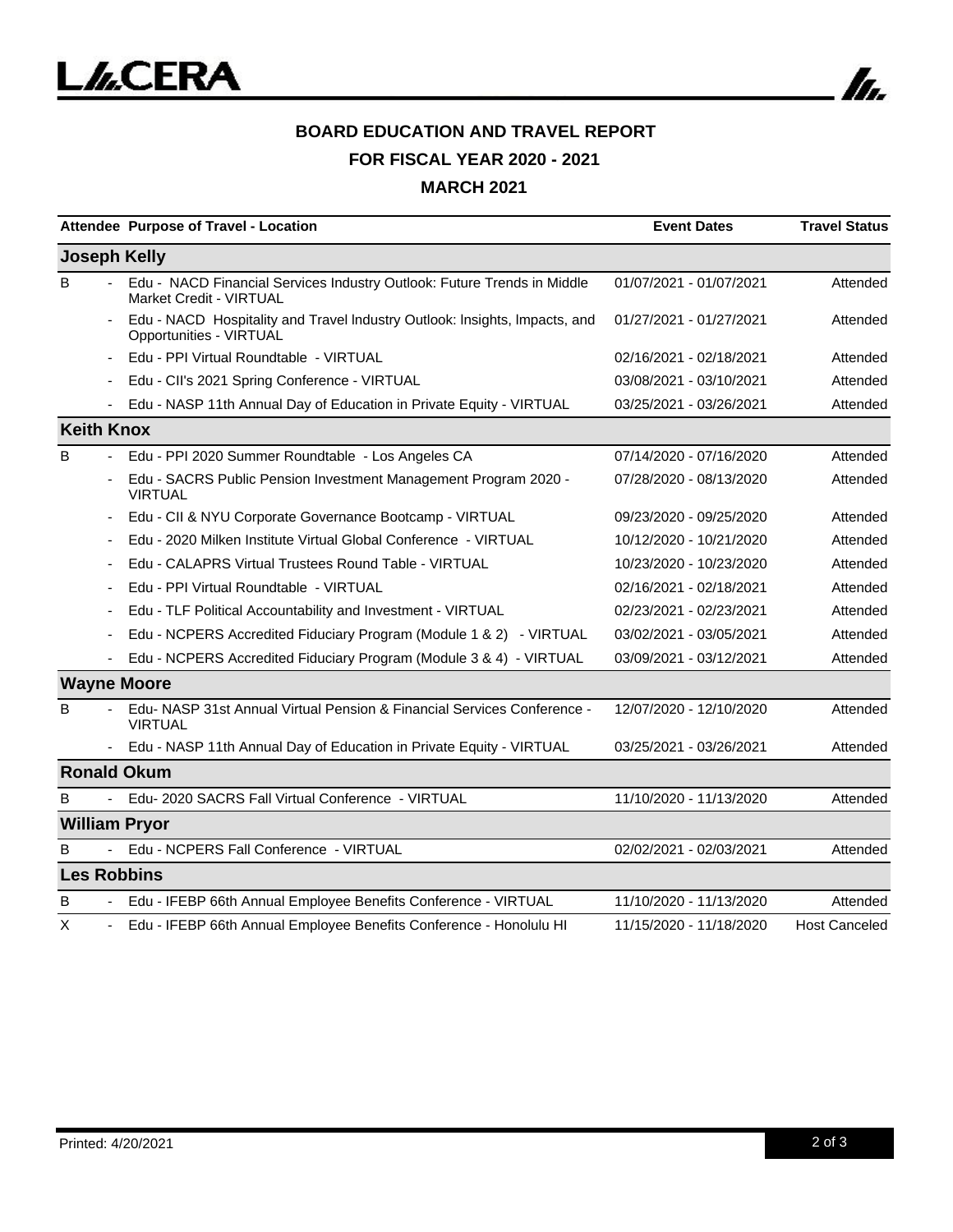

# **BOARD EDUCATION AND TRAVEL REPORT FOR FISCAL YEAR 2020 - 2021 MARCH 2021**

|                   |                | Attendee Purpose of Travel - Location                                                                     | <b>Event Dates</b>      | <b>Travel Status</b> |
|-------------------|----------------|-----------------------------------------------------------------------------------------------------------|-------------------------|----------------------|
|                   |                | <b>Joseph Kelly</b>                                                                                       |                         |                      |
| B                 |                | Edu - NACD Financial Services Industry Outlook: Future Trends in Middle<br><b>Market Credit - VIRTUAL</b> | 01/07/2021 - 01/07/2021 | Attended             |
|                   | $\blacksquare$ | Edu - NACD Hospitality and Travel Industry Outlook: Insights, Impacts, and<br>Opportunities - VIRTUAL     | 01/27/2021 - 01/27/2021 | Attended             |
|                   |                | Edu - PPI Virtual Roundtable - VIRTUAL                                                                    | 02/16/2021 - 02/18/2021 | Attended             |
|                   |                | Edu - CII's 2021 Spring Conference - VIRTUAL                                                              | 03/08/2021 - 03/10/2021 | Attended             |
|                   |                | Edu - NASP 11th Annual Day of Education in Private Equity - VIRTUAL                                       | 03/25/2021 - 03/26/2021 | Attended             |
| <b>Keith Knox</b> |                |                                                                                                           |                         |                      |
| B                 |                | Edu - PPI 2020 Summer Roundtable - Los Angeles CA                                                         | 07/14/2020 - 07/16/2020 | Attended             |
|                   |                | Edu - SACRS Public Pension Investment Management Program 2020 -<br><b>VIRTUAL</b>                         | 07/28/2020 - 08/13/2020 | Attended             |
|                   |                | Edu - CII & NYU Corporate Governance Bootcamp - VIRTUAL                                                   | 09/23/2020 - 09/25/2020 | Attended             |
|                   |                | Edu - 2020 Milken Institute Virtual Global Conference - VIRTUAL                                           | 10/12/2020 - 10/21/2020 | Attended             |
|                   |                | Edu - CALAPRS Virtual Trustees Round Table - VIRTUAL                                                      | 10/23/2020 - 10/23/2020 | Attended             |
|                   |                | Edu - PPI Virtual Roundtable - VIRTUAL                                                                    | 02/16/2021 - 02/18/2021 | Attended             |
|                   |                | Edu - TLF Political Accountability and Investment - VIRTUAL                                               | 02/23/2021 - 02/23/2021 | Attended             |
|                   |                | Edu - NCPERS Accredited Fiduciary Program (Module 1 & 2) - VIRTUAL                                        | 03/02/2021 - 03/05/2021 | Attended             |
|                   |                | Edu - NCPERS Accredited Fiduciary Program (Module 3 & 4) - VIRTUAL                                        | 03/09/2021 - 03/12/2021 | Attended             |
|                   |                | <b>Wayne Moore</b>                                                                                        |                         |                      |
| В                 |                | Edu-NASP 31st Annual Virtual Pension & Financial Services Conference -<br><b>VIRTUAL</b>                  | 12/07/2020 - 12/10/2020 | Attended             |
|                   |                | Edu - NASP 11th Annual Day of Education in Private Equity - VIRTUAL                                       | 03/25/2021 - 03/26/2021 | Attended             |
|                   |                | <b>Ronald Okum</b>                                                                                        |                         |                      |
| B                 |                | Edu-2020 SACRS Fall Virtual Conference - VIRTUAL                                                          | 11/10/2020 - 11/13/2020 | Attended             |
|                   |                | <b>William Pryor</b>                                                                                      |                         |                      |
| в                 |                | Edu - NCPERS Fall Conference - VIRTUAL                                                                    | 02/02/2021 - 02/03/2021 | Attended             |
|                   |                | <b>Les Robbins</b>                                                                                        |                         |                      |
| в                 |                | Edu - IFEBP 66th Annual Employee Benefits Conference - VIRTUAL                                            | 11/10/2020 - 11/13/2020 | Attended             |
| х                 |                | Edu - IFEBP 66th Annual Employee Benefits Conference - Honolulu HI                                        | 11/15/2020 - 11/18/2020 | <b>Host Canceled</b> |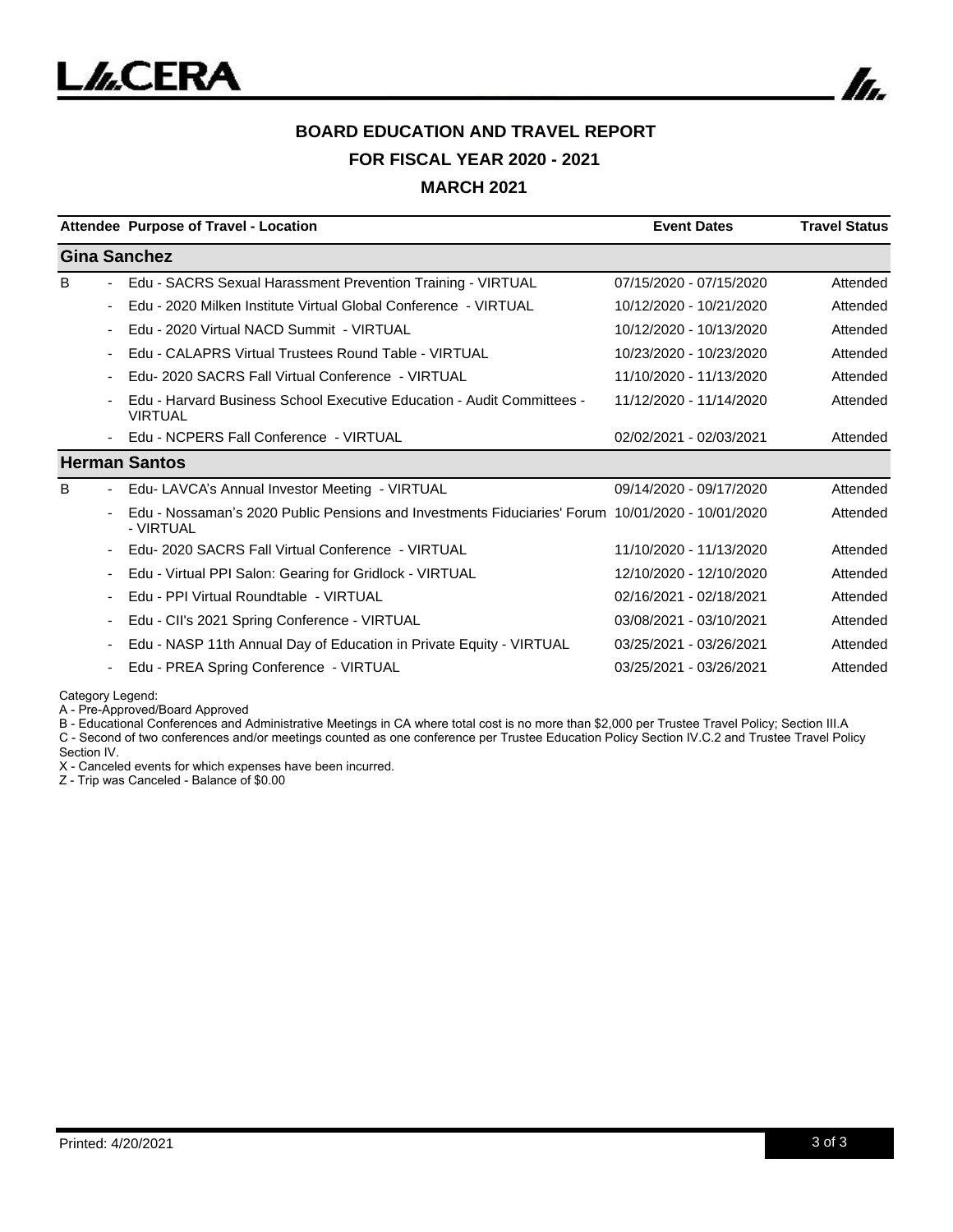

#### **BOARD EDUCATION AND TRAVEL REPORT FOR FISCAL YEAR 2020 - 2021 MARCH 2021**

|                          | Attendee Purpose of Travel - Location                                                                         | <b>Event Dates</b>      | <b>Travel Status</b> |
|--------------------------|---------------------------------------------------------------------------------------------------------------|-------------------------|----------------------|
|                          | <b>Gina Sanchez</b>                                                                                           |                         |                      |
| B                        | Edu - SACRS Sexual Harassment Prevention Training - VIRTUAL                                                   | 07/15/2020 - 07/15/2020 | Attended             |
| $\blacksquare$           | Edu - 2020 Milken Institute Virtual Global Conference - VIRTUAL                                               | 10/12/2020 - 10/21/2020 | Attended             |
|                          | Edu - 2020 Virtual NACD Summit - VIRTUAL                                                                      | 10/12/2020 - 10/13/2020 | Attended             |
|                          | Edu - CALAPRS Virtual Trustees Round Table - VIRTUAL                                                          | 10/23/2020 - 10/23/2020 | Attended             |
|                          | Edu- 2020 SACRS Fall Virtual Conference - VIRTUAL                                                             | 11/10/2020 - 11/13/2020 | Attended             |
|                          | Edu - Harvard Business School Executive Education - Audit Committees -<br><b>VIRTUAL</b>                      | 11/12/2020 - 11/14/2020 | Attended             |
|                          | Edu - NCPERS Fall Conference - VIRTUAL                                                                        | 02/02/2021 - 02/03/2021 | Attended             |
|                          | <b>Herman Santos</b>                                                                                          |                         |                      |
| B                        | Edu- LAVCA's Annual Investor Meeting - VIRTUAL                                                                | 09/14/2020 - 09/17/2020 | Attended             |
|                          | Edu - Nossaman's 2020 Public Pensions and Investments Fiduciaries' Forum 10/01/2020 - 10/01/2020<br>- VIRTUAL |                         | Attended             |
|                          | Edu- 2020 SACRS Fall Virtual Conference - VIRTUAL                                                             | 11/10/2020 - 11/13/2020 | Attended             |
| ۰.                       | Edu - Virtual PPI Salon: Gearing for Gridlock - VIRTUAL                                                       | 12/10/2020 - 12/10/2020 | Attended             |
|                          | Edu - PPI Virtual Roundtable - VIRTUAL                                                                        | 02/16/2021 - 02/18/2021 | Attended             |
| $\overline{\phantom{a}}$ | Edu - CII's 2021 Spring Conference - VIRTUAL                                                                  | 03/08/2021 - 03/10/2021 | Attended             |
|                          | Edu - NASP 11th Annual Day of Education in Private Equity - VIRTUAL                                           | 03/25/2021 - 03/26/2021 | Attended             |
|                          | Edu - PREA Spring Conference - VIRTUAL                                                                        | 03/25/2021 - 03/26/2021 | Attended             |

Category Legend:

A - Pre-Approved/Board Approved

B - Educational Conferences and Administrative Meetings in CA where total cost is no more than \$2,000 per Trustee Travel Policy; Section III.A

C - Second of two conferences and/or meetings counted as one conference per Trustee Education Policy Section IV.C.2 and Trustee Travel Policy Section IV.

X - Canceled events for which expenses have been incurred.

Z - Trip was Canceled - Balance of \$0.00